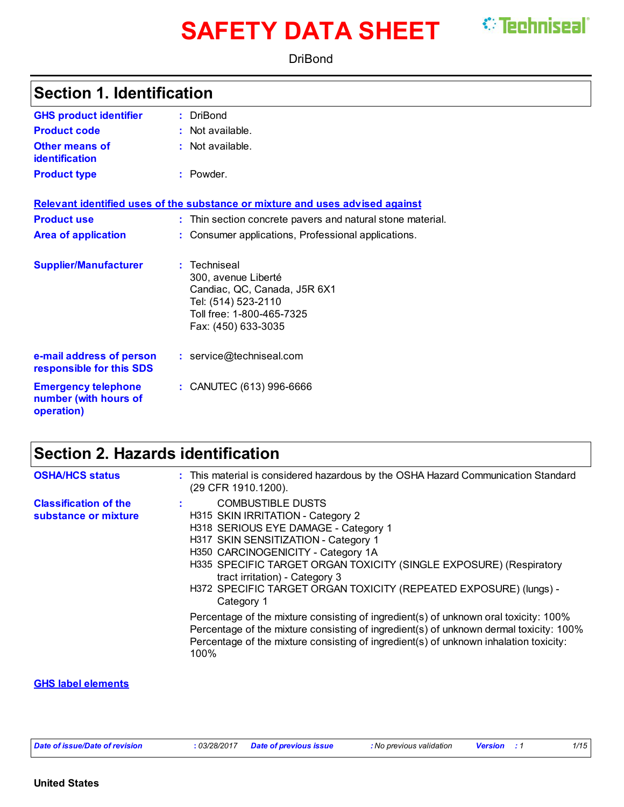# **SAFETY DATA SHEET**

*<u>\*\* Techniseal</u>* 

DriBond

### **Section 1. Identification**

| <b>GHS product identifier</b>                                     | : DriBond                                                                                                                                      |
|-------------------------------------------------------------------|------------------------------------------------------------------------------------------------------------------------------------------------|
| <b>Product code</b>                                               | $:$ Not available.                                                                                                                             |
| <b>Other means of</b><br><b>identification</b>                    | : Not available.                                                                                                                               |
| <b>Product type</b>                                               | : Powder.                                                                                                                                      |
|                                                                   | Relevant identified uses of the substance or mixture and uses advised against                                                                  |
| <b>Product use</b>                                                | : Thin section concrete pavers and natural stone material.                                                                                     |
| <b>Area of application</b>                                        | : Consumer applications, Professional applications.                                                                                            |
| <b>Supplier/Manufacturer</b>                                      | : Techniseal<br>300, avenue Liberté<br>Candiac, QC, Canada, J5R 6X1<br>Tel: (514) 523-2110<br>Toll free: 1-800-465-7325<br>Fax: (450) 633-3035 |
| e-mail address of person<br>responsible for this SDS              | : service@techniseal.com                                                                                                                       |
| <b>Emergency telephone</b><br>number (with hours of<br>operation) | : CANUTEC (613) 996-6666                                                                                                                       |

## **Section 2. Hazards identification**

| <b>OSHA/HCS status</b>                               | : This material is considered hazardous by the OSHA Hazard Communication Standard<br>(29 CFR 1910.1200).                                                                                                                                                                                                                                                                       |
|------------------------------------------------------|--------------------------------------------------------------------------------------------------------------------------------------------------------------------------------------------------------------------------------------------------------------------------------------------------------------------------------------------------------------------------------|
| <b>Classification of the</b><br>substance or mixture | <b>COMBUSTIBLE DUSTS</b><br>H315 SKIN IRRITATION - Category 2<br>H318 SERIOUS EYE DAMAGE - Category 1<br>H317 SKIN SENSITIZATION - Category 1<br>H350 CARCINOGENICITY - Category 1A<br>H335 SPECIFIC TARGET ORGAN TOXICITY (SINGLE EXPOSURE) (Respiratory<br>tract irritation) - Category 3<br>H372 SPECIFIC TARGET ORGAN TOXICITY (REPEATED EXPOSURE) (lungs) -<br>Category 1 |
|                                                      | Percentage of the mixture consisting of ingredient(s) of unknown oral toxicity: 100%<br>Percentage of the mixture consisting of ingredient(s) of unknown dermal toxicity: 100%<br>Percentage of the mixture consisting of ingredient(s) of unknown inhalation toxicity:<br>100%                                                                                                |

#### **GHS label elements**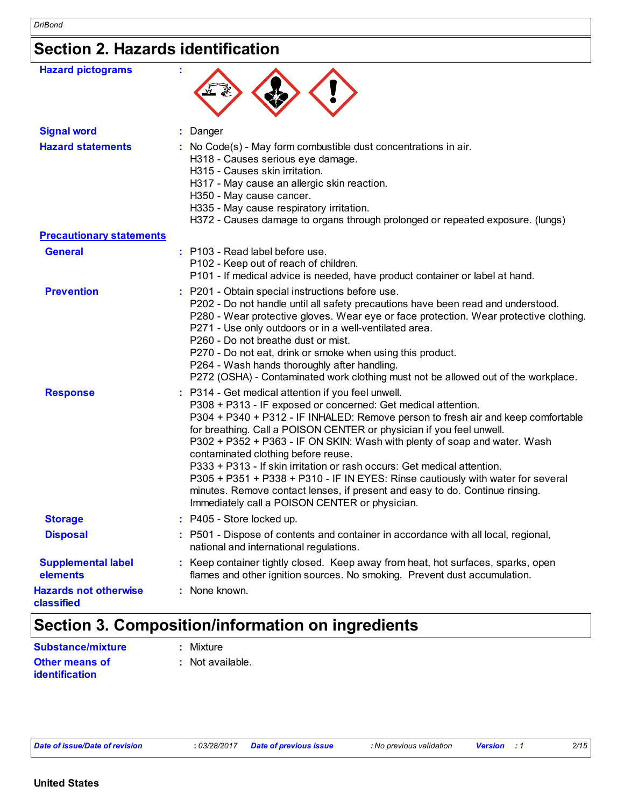## **Section 2. Hazards identification**

| <b>Hazard pictograms</b>                   | t                                                                                                                                                                                                                                                                                                                                                                                                                                                                                                                                                                                                                                                                                                   |
|--------------------------------------------|-----------------------------------------------------------------------------------------------------------------------------------------------------------------------------------------------------------------------------------------------------------------------------------------------------------------------------------------------------------------------------------------------------------------------------------------------------------------------------------------------------------------------------------------------------------------------------------------------------------------------------------------------------------------------------------------------------|
| <b>Signal word</b>                         | Danger                                                                                                                                                                                                                                                                                                                                                                                                                                                                                                                                                                                                                                                                                              |
| <b>Hazard statements</b>                   | : No Code(s) - May form combustible dust concentrations in air.<br>H318 - Causes serious eye damage.<br>H315 - Causes skin irritation.<br>H317 - May cause an allergic skin reaction.<br>H350 - May cause cancer.<br>H335 - May cause respiratory irritation.<br>H372 - Causes damage to organs through prolonged or repeated exposure. (lungs)                                                                                                                                                                                                                                                                                                                                                     |
| <b>Precautionary statements</b>            |                                                                                                                                                                                                                                                                                                                                                                                                                                                                                                                                                                                                                                                                                                     |
| <b>General</b>                             | : P103 - Read label before use.<br>P102 - Keep out of reach of children.<br>P101 - If medical advice is needed, have product container or label at hand.                                                                                                                                                                                                                                                                                                                                                                                                                                                                                                                                            |
| <b>Prevention</b>                          | P201 - Obtain special instructions before use.<br>P202 - Do not handle until all safety precautions have been read and understood.<br>P280 - Wear protective gloves. Wear eye or face protection. Wear protective clothing.<br>P271 - Use only outdoors or in a well-ventilated area.<br>P260 - Do not breathe dust or mist.<br>P270 - Do not eat, drink or smoke when using this product.<br>P264 - Wash hands thoroughly after handling.<br>P272 (OSHA) - Contaminated work clothing must not be allowed out of the workplace.                                                                                                                                                                    |
| <b>Response</b>                            | : P314 - Get medical attention if you feel unwell.<br>P308 + P313 - IF exposed or concerned: Get medical attention.<br>P304 + P340 + P312 - IF INHALED: Remove person to fresh air and keep comfortable<br>for breathing. Call a POISON CENTER or physician if you feel unwell.<br>P302 + P352 + P363 - IF ON SKIN: Wash with plenty of soap and water. Wash<br>contaminated clothing before reuse.<br>P333 + P313 - If skin irritation or rash occurs: Get medical attention.<br>P305 + P351 + P338 + P310 - IF IN EYES: Rinse cautiously with water for several<br>minutes. Remove contact lenses, if present and easy to do. Continue rinsing.<br>Immediately call a POISON CENTER or physician. |
| <b>Storage</b>                             | : P405 - Store locked up.                                                                                                                                                                                                                                                                                                                                                                                                                                                                                                                                                                                                                                                                           |
| <b>Disposal</b>                            | : P501 - Dispose of contents and container in accordance with all local, regional,<br>national and international regulations.                                                                                                                                                                                                                                                                                                                                                                                                                                                                                                                                                                       |
| <b>Supplemental label</b><br>elements      | Keep container tightly closed. Keep away from heat, hot surfaces, sparks, open<br>flames and other ignition sources. No smoking. Prevent dust accumulation.                                                                                                                                                                                                                                                                                                                                                                                                                                                                                                                                         |
| <b>Hazards not otherwise</b><br>classified | None known.                                                                                                                                                                                                                                                                                                                                                                                                                                                                                                                                                                                                                                                                                         |

## **Section 3. Composition/information on ingredients**

| <b>Substance/mixture</b> | : Mixture          |
|--------------------------|--------------------|
| <b>Other means of</b>    | $:$ Not available. |
| <b>identification</b>    |                    |

*Date of issue/Date of revision* **:** *03/28/2017 Date of previous issue : No previous validation Version : 1 2/15*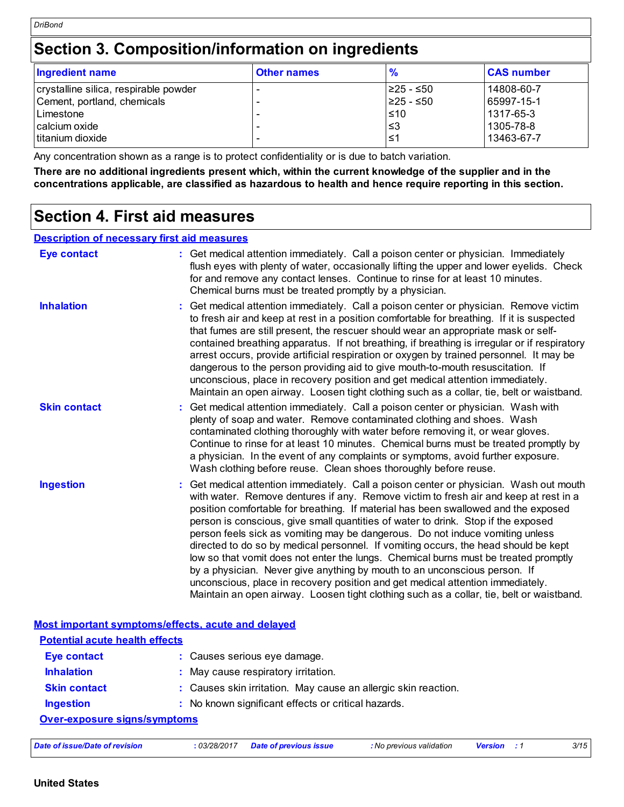### **Section 3. Composition/information on ingredients**

| <b>Ingredient name</b>                | <b>Other names</b> | %          | <b>CAS number</b> |
|---------------------------------------|--------------------|------------|-------------------|
| crystalline silica, respirable powder | -                  | I≥25 - ≤50 | 14808-60-7        |
| Cement, portland, chemicals           |                    | I≥25 - ≤50 | 65997-15-1        |
| l Limestone                           |                    | $\leq 10$  | 1317-65-3         |
| calcium oxide                         |                    | ≤3         | 1305-78-8         |
| titanium dioxide                      |                    | ≤1         | 13463-67-7        |

Any concentration shown as a range is to protect confidentiality or is due to batch variation.

**There are no additional ingredients present which, within the current knowledge of the supplier and in the concentrations applicable, are classified as hazardous to health and hence require reporting in this section.**

### **Section 4. First aid measures**

#### **Description of necessary first aid measures**

| <b>Eye contact</b>                                 | : Get medical attention immediately. Call a poison center or physician. Immediately<br>flush eyes with plenty of water, occasionally lifting the upper and lower eyelids. Check<br>for and remove any contact lenses. Continue to rinse for at least 10 minutes.<br>Chemical burns must be treated promptly by a physician.                                                                                                                                                                                                                                                                                                                                                                                                                                                                                                                                                       |
|----------------------------------------------------|-----------------------------------------------------------------------------------------------------------------------------------------------------------------------------------------------------------------------------------------------------------------------------------------------------------------------------------------------------------------------------------------------------------------------------------------------------------------------------------------------------------------------------------------------------------------------------------------------------------------------------------------------------------------------------------------------------------------------------------------------------------------------------------------------------------------------------------------------------------------------------------|
| <b>Inhalation</b>                                  | Get medical attention immediately. Call a poison center or physician. Remove victim<br>to fresh air and keep at rest in a position comfortable for breathing. If it is suspected<br>that fumes are still present, the rescuer should wear an appropriate mask or self-<br>contained breathing apparatus. If not breathing, if breathing is irregular or if respiratory<br>arrest occurs, provide artificial respiration or oxygen by trained personnel. It may be<br>dangerous to the person providing aid to give mouth-to-mouth resuscitation. If<br>unconscious, place in recovery position and get medical attention immediately.<br>Maintain an open airway. Loosen tight clothing such as a collar, tie, belt or waistband.                                                                                                                                                 |
| <b>Skin contact</b>                                | : Get medical attention immediately. Call a poison center or physician. Wash with<br>plenty of soap and water. Remove contaminated clothing and shoes. Wash<br>contaminated clothing thoroughly with water before removing it, or wear gloves.<br>Continue to rinse for at least 10 minutes. Chemical burns must be treated promptly by<br>a physician. In the event of any complaints or symptoms, avoid further exposure.<br>Wash clothing before reuse. Clean shoes thoroughly before reuse.                                                                                                                                                                                                                                                                                                                                                                                   |
| <b>Ingestion</b>                                   | Get medical attention immediately. Call a poison center or physician. Wash out mouth<br>with water. Remove dentures if any. Remove victim to fresh air and keep at rest in a<br>position comfortable for breathing. If material has been swallowed and the exposed<br>person is conscious, give small quantities of water to drink. Stop if the exposed<br>person feels sick as vomiting may be dangerous. Do not induce vomiting unless<br>directed to do so by medical personnel. If vomiting occurs, the head should be kept<br>low so that vomit does not enter the lungs. Chemical burns must be treated promptly<br>by a physician. Never give anything by mouth to an unconscious person. If<br>unconscious, place in recovery position and get medical attention immediately.<br>Maintain an open airway. Loosen tight clothing such as a collar, tie, belt or waistband. |
| Most important symptoms/effects, acute and delayed |                                                                                                                                                                                                                                                                                                                                                                                                                                                                                                                                                                                                                                                                                                                                                                                                                                                                                   |

| <b>Potential acute health effects</b> |                                                                |  |
|---------------------------------------|----------------------------------------------------------------|--|
| <b>Eye contact</b>                    | : Causes serious eye damage.                                   |  |
| <b>Inhalation</b>                     | : May cause respiratory irritation.                            |  |
| <b>Skin contact</b>                   | : Causes skin irritation. May cause an allergic skin reaction. |  |
| <b>Ingestion</b>                      | : No known significant effects or critical hazards.            |  |
| <b>Over-exposure signs/symptoms</b>   |                                                                |  |

| 03/28/2017<br>Date of issue/Date of revision | Date of previous issue | : No previous validation | Version | 3/15 |
|----------------------------------------------|------------------------|--------------------------|---------|------|
|----------------------------------------------|------------------------|--------------------------|---------|------|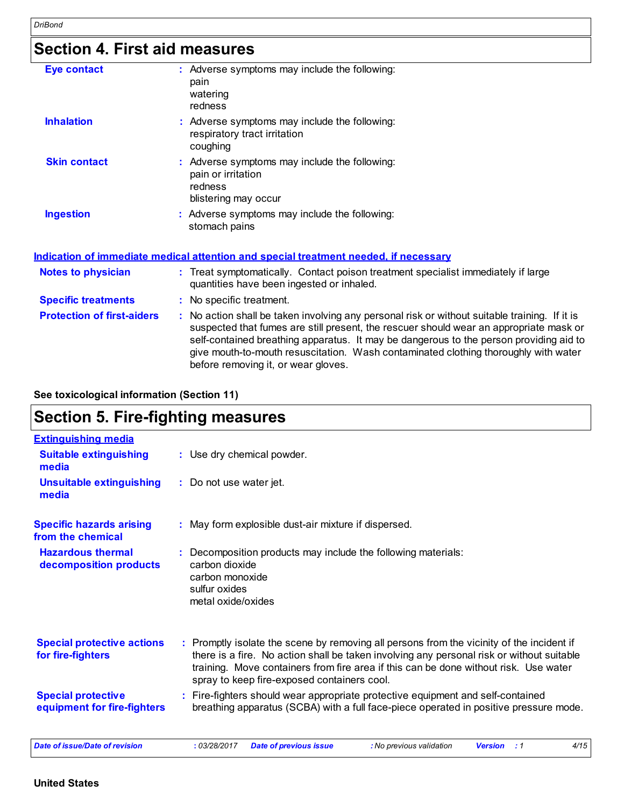### **Section 4. First aid measures**

| <b>Eve contact</b>  | : Adverse symptoms may include the following:<br>pain<br>watering<br>redness                           |
|---------------------|--------------------------------------------------------------------------------------------------------|
| <b>Inhalation</b>   | : Adverse symptoms may include the following:<br>respiratory tract irritation<br>coughing              |
| <b>Skin contact</b> | : Adverse symptoms may include the following:<br>pain or irritation<br>redness<br>blistering may occur |
| <b>Ingestion</b>    | : Adverse symptoms may include the following:<br>stomach pains                                         |

#### **Indication of immediate medical attention and special treatment needed, if necessary**

| <b>Notes to physician</b>         |   | : Treat symptomatically. Contact poison treatment specialist immediately if large<br>quantities have been ingested or inhaled.                                                                                                                                                                                                                                                                                |
|-----------------------------------|---|---------------------------------------------------------------------------------------------------------------------------------------------------------------------------------------------------------------------------------------------------------------------------------------------------------------------------------------------------------------------------------------------------------------|
| <b>Specific treatments</b>        | ÷ | No specific treatment.                                                                                                                                                                                                                                                                                                                                                                                        |
| <b>Protection of first-aiders</b> |   | No action shall be taken involving any personal risk or without suitable training. If it is<br>suspected that fumes are still present, the rescuer should wear an appropriate mask or<br>self-contained breathing apparatus. It may be dangerous to the person providing aid to<br>give mouth-to-mouth resuscitation. Wash contaminated clothing thoroughly with water<br>before removing it, or wear gloves. |

#### **See toxicological information (Section 11)**

### **Section 5. Fire-fighting measures**

| <b>Extinguishing media</b>                               |                                                                                                                                                                                                                                                                                                                               |
|----------------------------------------------------------|-------------------------------------------------------------------------------------------------------------------------------------------------------------------------------------------------------------------------------------------------------------------------------------------------------------------------------|
| <b>Suitable extinguishing</b><br>media                   | : Use dry chemical powder.                                                                                                                                                                                                                                                                                                    |
| <b>Unsuitable extinguishing</b><br>media                 | : Do not use water jet.                                                                                                                                                                                                                                                                                                       |
| <b>Specific hazards arising</b><br>from the chemical     | : May form explosible dust-air mixture if dispersed.                                                                                                                                                                                                                                                                          |
| <b>Hazardous thermal</b><br>decomposition products       | : Decomposition products may include the following materials:<br>carbon dioxide<br>carbon monoxide<br>sulfur oxides<br>metal oxide/oxides                                                                                                                                                                                     |
| <b>Special protective actions</b><br>for fire-fighters   | : Promptly isolate the scene by removing all persons from the vicinity of the incident if<br>there is a fire. No action shall be taken involving any personal risk or without suitable<br>training. Move containers from fire area if this can be done without risk. Use water<br>spray to keep fire-exposed containers cool. |
| <b>Special protective</b><br>equipment for fire-fighters | : Fire-fighters should wear appropriate protective equipment and self-contained<br>breathing apparatus (SCBA) with a full face-piece operated in positive pressure mode.                                                                                                                                                      |
| Date of issue/Date of revision                           | : 03/28/2017<br><b>Date of previous issue</b><br>: No previous validation<br>4/15<br><b>Version</b><br>$\cdot$ 1                                                                                                                                                                                                              |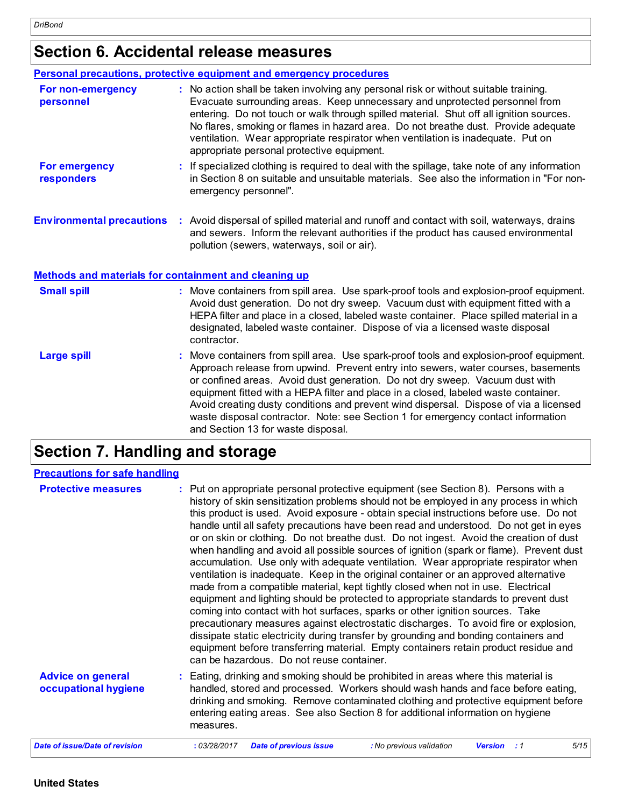### **Section 6. Accidental release measures**

#### **Personal precautions, protective equipment and emergency procedures**

| For non-emergency<br>personnel     | : No action shall be taken involving any personal risk or without suitable training.<br>Evacuate surrounding areas. Keep unnecessary and unprotected personnel from<br>entering. Do not touch or walk through spilled material. Shut off all ignition sources.<br>No flares, smoking or flames in hazard area. Do not breathe dust. Provide adequate<br>ventilation. Wear appropriate respirator when ventilation is inadequate. Put on<br>appropriate personal protective equipment. |
|------------------------------------|---------------------------------------------------------------------------------------------------------------------------------------------------------------------------------------------------------------------------------------------------------------------------------------------------------------------------------------------------------------------------------------------------------------------------------------------------------------------------------------|
| <b>For emergency</b><br>responders | : If specialized clothing is required to deal with the spillage, take note of any information<br>in Section 8 on suitable and unsuitable materials. See also the information in "For non-<br>emergency personnel".                                                                                                                                                                                                                                                                    |
| <b>Environmental precautions</b>   | : Avoid dispersal of spilled material and runoff and contact with soil, waterways, drains<br>and sewers. Inform the relevant authorities if the product has caused environmental                                                                                                                                                                                                                                                                                                      |

pollution (sewers, waterways, soil or air).

#### **Methods and materials for containment and cleaning up**

| <b>Small spill</b> | : Move containers from spill area. Use spark-proof tools and explosion-proof equipment.<br>Avoid dust generation. Do not dry sweep. Vacuum dust with equipment fitted with a<br>HEPA filter and place in a closed, labeled waste container. Place spilled material in a<br>designated, labeled waste container. Dispose of via a licensed waste disposal<br>contractor.                                                                                                                                                                                                |
|--------------------|------------------------------------------------------------------------------------------------------------------------------------------------------------------------------------------------------------------------------------------------------------------------------------------------------------------------------------------------------------------------------------------------------------------------------------------------------------------------------------------------------------------------------------------------------------------------|
| <b>Large spill</b> | : Move containers from spill area. Use spark-proof tools and explosion-proof equipment.<br>Approach release from upwind. Prevent entry into sewers, water courses, basements<br>or confined areas. Avoid dust generation. Do not dry sweep. Vacuum dust with<br>equipment fitted with a HEPA filter and place in a closed, labeled waste container.<br>Avoid creating dusty conditions and prevent wind dispersal. Dispose of via a licensed<br>waste disposal contractor. Note: see Section 1 for emergency contact information<br>and Section 13 for waste disposal. |

## **Section 7. Handling and storage**

| <b>Precautions for safe handling</b>             |                                                                                                                                                                                                                                                                                                                                                                                                                                                                                                                                                                                                                                                                                                                                                                                                                                                                                                                                                                                                                                                                                                                                                                                                                                                                                                                  |
|--------------------------------------------------|------------------------------------------------------------------------------------------------------------------------------------------------------------------------------------------------------------------------------------------------------------------------------------------------------------------------------------------------------------------------------------------------------------------------------------------------------------------------------------------------------------------------------------------------------------------------------------------------------------------------------------------------------------------------------------------------------------------------------------------------------------------------------------------------------------------------------------------------------------------------------------------------------------------------------------------------------------------------------------------------------------------------------------------------------------------------------------------------------------------------------------------------------------------------------------------------------------------------------------------------------------------------------------------------------------------|
| <b>Protective measures</b>                       | : Put on appropriate personal protective equipment (see Section 8). Persons with a<br>history of skin sensitization problems should not be employed in any process in which<br>this product is used. Avoid exposure - obtain special instructions before use. Do not<br>handle until all safety precautions have been read and understood. Do not get in eyes<br>or on skin or clothing. Do not breathe dust. Do not ingest. Avoid the creation of dust<br>when handling and avoid all possible sources of ignition (spark or flame). Prevent dust<br>accumulation. Use only with adequate ventilation. Wear appropriate respirator when<br>ventilation is inadequate. Keep in the original container or an approved alternative<br>made from a compatible material, kept tightly closed when not in use. Electrical<br>equipment and lighting should be protected to appropriate standards to prevent dust<br>coming into contact with hot surfaces, sparks or other ignition sources. Take<br>precautionary measures against electrostatic discharges. To avoid fire or explosion,<br>dissipate static electricity during transfer by grounding and bonding containers and<br>equipment before transferring material. Empty containers retain product residue and<br>can be hazardous. Do not reuse container. |
| <b>Advice on general</b><br>occupational hygiene | : Eating, drinking and smoking should be prohibited in areas where this material is<br>handled, stored and processed. Workers should wash hands and face before eating,<br>drinking and smoking. Remove contaminated clothing and protective equipment before<br>entering eating areas. See also Section 8 for additional information on hygiene<br>measures.                                                                                                                                                                                                                                                                                                                                                                                                                                                                                                                                                                                                                                                                                                                                                                                                                                                                                                                                                    |
| <b>Date of issue/Date of revision</b>            | 5/15<br><b>Date of previous issue</b><br>: No previous validation<br>: 03/28/2017<br><b>Version</b><br>$\therefore$ 1                                                                                                                                                                                                                                                                                                                                                                                                                                                                                                                                                                                                                                                                                                                                                                                                                                                                                                                                                                                                                                                                                                                                                                                            |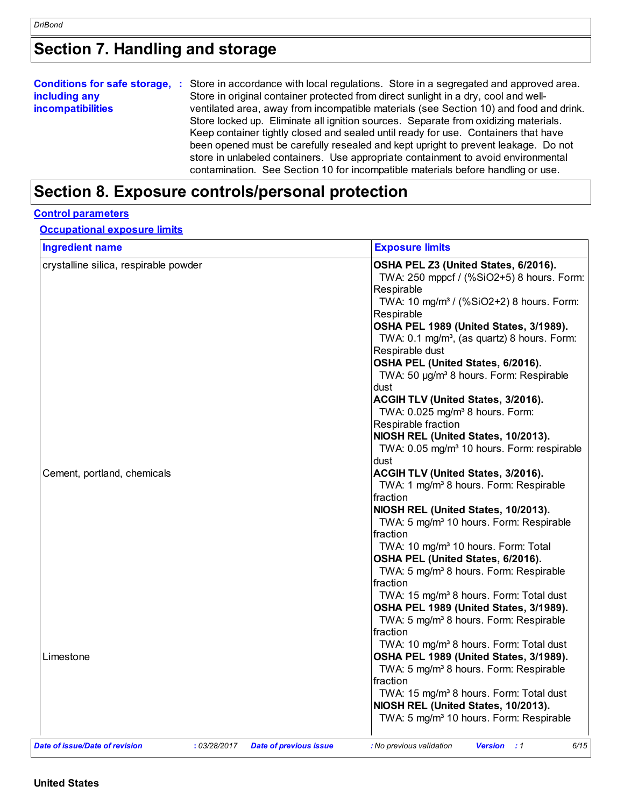## **Section 7. Handling and storage**

|                          | Conditions for safe storage, : Store in accordance with local regulations. Store in a segregated and approved area. |  |  |  |  |
|--------------------------|---------------------------------------------------------------------------------------------------------------------|--|--|--|--|
| including any            | Store in original container protected from direct sunlight in a dry, cool and well-                                 |  |  |  |  |
| <b>incompatibilities</b> | ventilated area, away from incompatible materials (see Section 10) and food and drink.                              |  |  |  |  |
|                          | Store locked up. Eliminate all ignition sources. Separate from oxidizing materials.                                 |  |  |  |  |
|                          | Keep container tightly closed and sealed until ready for use. Containers that have                                  |  |  |  |  |
|                          | been opened must be carefully resealed and kept upright to prevent leakage. Do not                                  |  |  |  |  |
|                          | store in unlabeled containers. Use appropriate containment to avoid environmental                                   |  |  |  |  |
|                          | contamination. See Section 10 for incompatible materials before handling or use.                                    |  |  |  |  |

## **Section 8. Exposure controls/personal protection**

#### **Control parameters**

#### **Occupational exposure limits**

| <b>Ingredient name</b>                         | <b>Exposure limits</b>                                                                            |
|------------------------------------------------|---------------------------------------------------------------------------------------------------|
| crystalline silica, respirable powder          | OSHA PEL Z3 (United States, 6/2016).                                                              |
|                                                | TWA: 250 mppcf / (%SiO2+5) 8 hours. Form:                                                         |
|                                                | Respirable                                                                                        |
|                                                | TWA: 10 mg/m <sup>3</sup> / (%SiO2+2) 8 hours. Form:                                              |
|                                                | Respirable                                                                                        |
|                                                | OSHA PEL 1989 (United States, 3/1989).                                                            |
|                                                | TWA: 0.1 mg/m <sup>3</sup> , (as quartz) 8 hours. Form:                                           |
|                                                | Respirable dust                                                                                   |
|                                                | OSHA PEL (United States, 6/2016).                                                                 |
|                                                | TWA: 50 µg/m <sup>3</sup> 8 hours. Form: Respirable<br>dust                                       |
|                                                | ACGIH TLV (United States, 3/2016).                                                                |
|                                                | TWA: 0.025 mg/m <sup>3</sup> 8 hours. Form:                                                       |
|                                                | Respirable fraction                                                                               |
|                                                | NIOSH REL (United States, 10/2013).                                                               |
|                                                | TWA: 0.05 mg/m <sup>3</sup> 10 hours. Form: respirable                                            |
|                                                | dust                                                                                              |
| Cement, portland, chemicals                    | ACGIH TLV (United States, 3/2016).                                                                |
|                                                | TWA: 1 mg/m <sup>3</sup> 8 hours. Form: Respirable                                                |
|                                                | fraction                                                                                          |
|                                                | NIOSH REL (United States, 10/2013).                                                               |
|                                                | TWA: 5 mg/m <sup>3</sup> 10 hours. Form: Respirable                                               |
|                                                | fraction                                                                                          |
|                                                | TWA: 10 mg/m <sup>3</sup> 10 hours. Form: Total                                                   |
|                                                | OSHA PEL (United States, 6/2016).                                                                 |
|                                                | TWA: 5 mg/m <sup>3</sup> 8 hours. Form: Respirable                                                |
|                                                | fraction                                                                                          |
|                                                | TWA: 15 mg/m <sup>3</sup> 8 hours. Form: Total dust                                               |
|                                                | OSHA PEL 1989 (United States, 3/1989).                                                            |
|                                                | TWA: 5 mg/m <sup>3</sup> 8 hours. Form: Respirable                                                |
|                                                | fraction                                                                                          |
|                                                | TWA: 10 mg/m <sup>3</sup> 8 hours. Form: Total dust                                               |
| Limestone                                      | OSHA PEL 1989 (United States, 3/1989).                                                            |
|                                                | TWA: 5 mg/m <sup>3</sup> 8 hours. Form: Respirable                                                |
|                                                | fraction                                                                                          |
|                                                | TWA: 15 mg/m <sup>3</sup> 8 hours. Form: Total dust                                               |
|                                                | NIOSH REL (United States, 10/2013).                                                               |
|                                                | TWA: 5 mg/m <sup>3</sup> 10 hours. Form: Respirable                                               |
| Date of issue/Date of revision<br>: 03/28/2017 | 6/15<br><b>Version</b><br><b>Date of previous issue</b><br>: No previous validation<br>$\cdot$ :1 |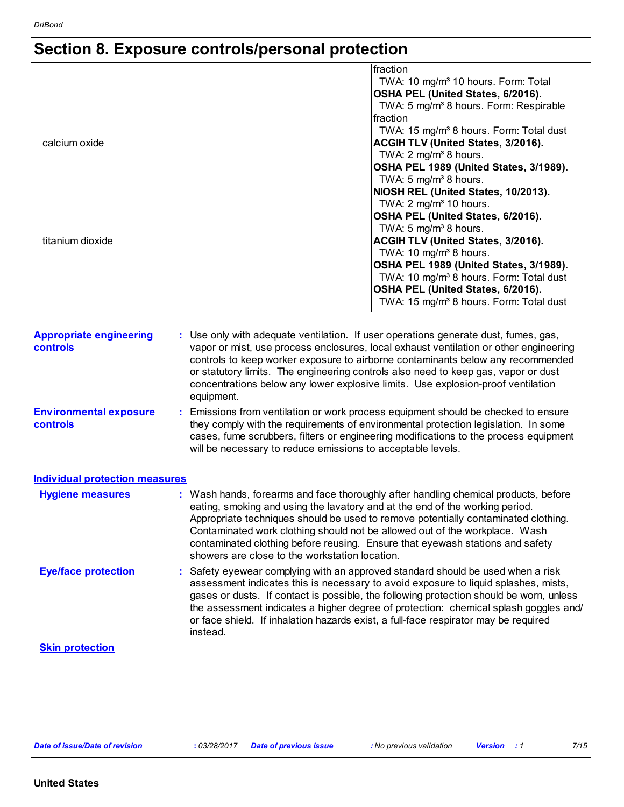## **Section 8. Exposure controls/personal protection**

|                  | fraction                                            |
|------------------|-----------------------------------------------------|
|                  | TWA: 10 mg/m <sup>3</sup> 10 hours. Form: Total     |
|                  |                                                     |
|                  | OSHA PEL (United States, 6/2016).                   |
|                  | TWA: 5 mg/m <sup>3</sup> 8 hours. Form: Respirable  |
|                  | fraction                                            |
|                  | TWA: 15 mg/m <sup>3</sup> 8 hours. Form: Total dust |
| calcium oxide    | ACGIH TLV (United States, 3/2016).                  |
|                  | TWA: 2 mg/m <sup>3</sup> 8 hours.                   |
|                  | OSHA PEL 1989 (United States, 3/1989).              |
|                  | TWA: 5 mg/m <sup>3</sup> 8 hours.                   |
|                  | NIOSH REL (United States, 10/2013).                 |
|                  | TWA: $2 \text{ mg/m}^3$ 10 hours.                   |
|                  | OSHA PEL (United States, 6/2016).                   |
|                  | TWA: 5 $mg/m3$ 8 hours.                             |
| titanium dioxide | ACGIH TLV (United States, 3/2016).                  |
|                  | TWA: 10 mg/m <sup>3</sup> 8 hours.                  |
|                  | OSHA PEL 1989 (United States, 3/1989).              |
|                  | TWA: 10 mg/m <sup>3</sup> 8 hours. Form: Total dust |
|                  | OSHA PEL (United States, 6/2016).                   |
|                  |                                                     |
|                  | TWA: 15 mg/m <sup>3</sup> 8 hours. Form: Total dust |

| <b>Appropriate engineering</b><br><b>controls</b> | : Use only with adequate ventilation. If user operations generate dust, fumes, gas,<br>vapor or mist, use process enclosures, local exhaust ventilation or other engineering<br>controls to keep worker exposure to airborne contaminants below any recommended<br>or statutory limits. The engineering controls also need to keep gas, vapor or dust<br>concentrations below any lower explosive limits. Use explosion-proof ventilation<br>equipment. |
|---------------------------------------------------|---------------------------------------------------------------------------------------------------------------------------------------------------------------------------------------------------------------------------------------------------------------------------------------------------------------------------------------------------------------------------------------------------------------------------------------------------------|
| <b>Environmental exposure</b><br><b>controls</b>  | : Emissions from ventilation or work process equipment should be checked to ensure<br>they comply with the requirements of environmental protection legislation. In some<br>cases, fume scrubbers, filters or engineering modifications to the process equipment<br>will be necessary to reduce emissions to acceptable levels.                                                                                                                         |

| <b>Individual protection measures</b> |  |
|---------------------------------------|--|
|                                       |  |

| <b>Hygiene measures</b>    | : Wash hands, forearms and face thoroughly after handling chemical products, before<br>eating, smoking and using the lavatory and at the end of the working period.<br>Appropriate techniques should be used to remove potentially contaminated clothing.<br>Contaminated work clothing should not be allowed out of the workplace. Wash<br>contaminated clothing before reusing. Ensure that eyewash stations and safety<br>showers are close to the workstation location. |  |  |
|----------------------------|-----------------------------------------------------------------------------------------------------------------------------------------------------------------------------------------------------------------------------------------------------------------------------------------------------------------------------------------------------------------------------------------------------------------------------------------------------------------------------|--|--|
| <b>Eye/face protection</b> | : Safety eyewear complying with an approved standard should be used when a risk<br>assessment indicates this is necessary to avoid exposure to liquid splashes, mists,<br>gases or dusts. If contact is possible, the following protection should be worn, unless<br>the assessment indicates a higher degree of protection: chemical splash goggles and/<br>or face shield. If inhalation hazards exist, a full-face respirator may be required<br>instead.                |  |  |
|                            |                                                                                                                                                                                                                                                                                                                                                                                                                                                                             |  |  |

#### **Skin protection**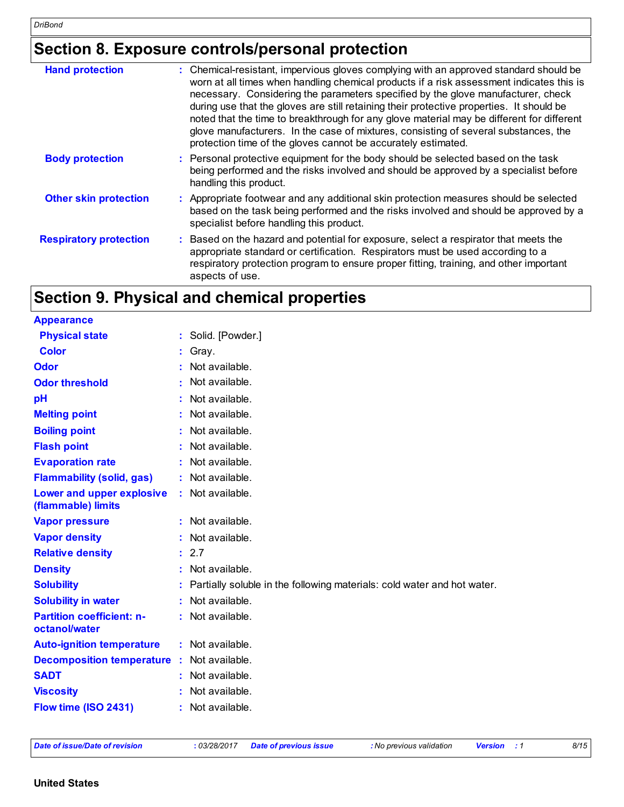## **Section 8. Exposure controls/personal protection**

| <b>Hand protection</b>        | : Chemical-resistant, impervious gloves complying with an approved standard should be<br>worn at all times when handling chemical products if a risk assessment indicates this is<br>necessary. Considering the parameters specified by the glove manufacturer, check<br>during use that the gloves are still retaining their protective properties. It should be<br>noted that the time to breakthrough for any glove material may be different for different<br>glove manufacturers. In the case of mixtures, consisting of several substances, the<br>protection time of the gloves cannot be accurately estimated. |
|-------------------------------|------------------------------------------------------------------------------------------------------------------------------------------------------------------------------------------------------------------------------------------------------------------------------------------------------------------------------------------------------------------------------------------------------------------------------------------------------------------------------------------------------------------------------------------------------------------------------------------------------------------------|
| <b>Body protection</b>        | : Personal protective equipment for the body should be selected based on the task<br>being performed and the risks involved and should be approved by a specialist before<br>handling this product.                                                                                                                                                                                                                                                                                                                                                                                                                    |
| <b>Other skin protection</b>  | : Appropriate footwear and any additional skin protection measures should be selected<br>based on the task being performed and the risks involved and should be approved by a<br>specialist before handling this product.                                                                                                                                                                                                                                                                                                                                                                                              |
| <b>Respiratory protection</b> | Based on the hazard and potential for exposure, select a respirator that meets the<br>appropriate standard or certification. Respirators must be used according to a<br>respiratory protection program to ensure proper fitting, training, and other important<br>aspects of use.                                                                                                                                                                                                                                                                                                                                      |

## **Section 9. Physical and chemical properties**

| <b>Appearance</b>                                 |    |                                                                         |
|---------------------------------------------------|----|-------------------------------------------------------------------------|
| <b>Physical state</b>                             |    | Solid. [Powder.]                                                        |
| <b>Color</b>                                      |    | Gray.                                                                   |
| <b>Odor</b>                                       |    | Not available.                                                          |
| <b>Odor threshold</b>                             |    | Not available.                                                          |
| pH                                                |    | Not available.                                                          |
| <b>Melting point</b>                              |    | Not available.                                                          |
| <b>Boiling point</b>                              |    | Not available.                                                          |
| <b>Flash point</b>                                |    | Not available.                                                          |
| <b>Evaporation rate</b>                           |    | Not available.                                                          |
| <b>Flammability (solid, gas)</b>                  |    | Not available.                                                          |
| Lower and upper explosive<br>(flammable) limits   |    | Not available.                                                          |
| <b>Vapor pressure</b>                             |    | $:$ Not available.                                                      |
| <b>Vapor density</b>                              |    | Not available.                                                          |
| <b>Relative density</b>                           |    | : 2.7                                                                   |
| <b>Density</b>                                    |    | Not available.                                                          |
| <b>Solubility</b>                                 |    | Partially soluble in the following materials: cold water and hot water. |
| <b>Solubility in water</b>                        |    | Not available.                                                          |
| <b>Partition coefficient: n-</b><br>octanol/water |    | Not available.                                                          |
| <b>Auto-ignition temperature</b>                  |    | : Not available.                                                        |
| <b>Decomposition temperature</b>                  | ÷. | Not available.                                                          |
| <b>SADT</b>                                       |    | Not available.                                                          |
| <b>Viscosity</b>                                  |    | Not available.                                                          |
| Flow time (ISO 2431)                              |    | Not available.                                                          |

*Date of issue/Date of revision* **:** *03/28/2017 Date of previous issue : No previous validation Version : 1 8/15*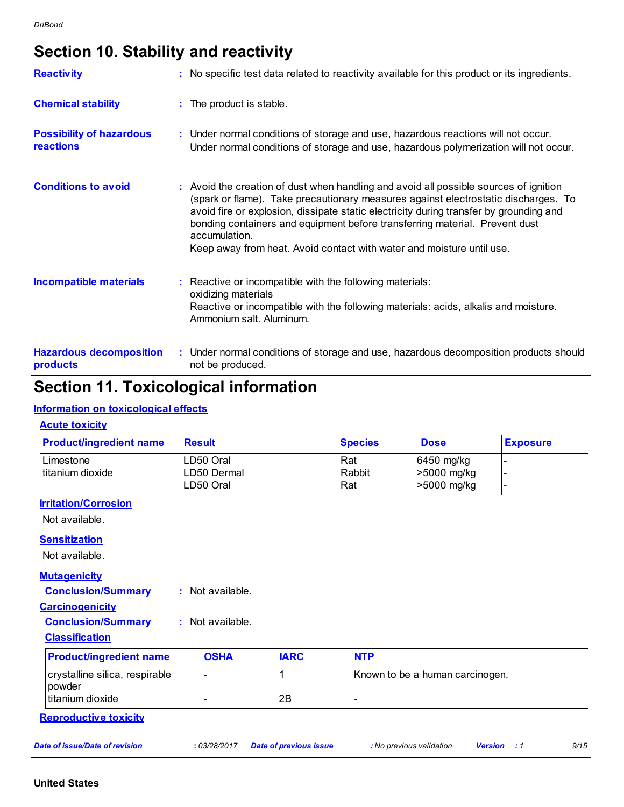## **Section 10. Stability and reactivity**

| <b>Reactivity</b>                                   | : No specific test data related to reactivity available for this product or its ingredients.                                                                                                                                                                                                                                                                                                                                                   |
|-----------------------------------------------------|------------------------------------------------------------------------------------------------------------------------------------------------------------------------------------------------------------------------------------------------------------------------------------------------------------------------------------------------------------------------------------------------------------------------------------------------|
| <b>Chemical stability</b>                           | : The product is stable.                                                                                                                                                                                                                                                                                                                                                                                                                       |
| <b>Possibility of hazardous</b><br><b>reactions</b> | : Under normal conditions of storage and use, hazardous reactions will not occur.<br>Under normal conditions of storage and use, hazardous polymerization will not occur.                                                                                                                                                                                                                                                                      |
| <b>Conditions to avoid</b>                          | : Avoid the creation of dust when handling and avoid all possible sources of ignition<br>(spark or flame). Take precautionary measures against electrostatic discharges. To<br>avoid fire or explosion, dissipate static electricity during transfer by grounding and<br>bonding containers and equipment before transferring material. Prevent dust<br>accumulation.<br>Keep away from heat. Avoid contact with water and moisture until use. |
| <b>Incompatible materials</b>                       | : Reactive or incompatible with the following materials:<br>oxidizing materials<br>Reactive or incompatible with the following materials: acids, alkalis and moisture.<br>Ammonium salt. Aluminum.                                                                                                                                                                                                                                             |
| <b>Hazardous decomposition</b><br>products          | : Under normal conditions of storage and use, hazardous decomposition products should<br>not be produced.                                                                                                                                                                                                                                                                                                                                      |

### **Section 11. Toxicological information**

#### **Information on toxicological effects**

#### **Acute toxicity**

| <b>Product/ingredient name</b>   | <b>Result</b>                         | <b>Species</b>       | <b>Dose</b>                                 | <b>Exposure</b> |
|----------------------------------|---------------------------------------|----------------------|---------------------------------------------|-----------------|
| l Limestone<br>Ititanium dioxide | LD50 Oral<br>LD50 Dermal<br>LD50 Oral | Rat<br>Rabbit<br>Rat | $ 6450$ mg/kg<br>>5000 mg/kg<br>>5000 mg/kg |                 |

#### **Irritation/Corrosion**

Not available.

#### **Sensitization**

Not available.

#### **Mutagenicity**

**Conclusion/Summary :** Not available.

#### **Carcinogenicity**

**Conclusion/Summary :** Not available.

#### **Classification**

| <b>Product/ingredient name</b>             | <b>OSHA</b> | <b>IARC</b> | <b>NTP</b>                      |
|--------------------------------------------|-------------|-------------|---------------------------------|
| crystalline silica, respirable<br>l powder |             |             | Known to be a human carcinogen. |
| l titanium dioxide                         |             | 2B          |                                 |

**Reproductive toxicity**

| Date of issue/Date of revision | : 03/28/2017    Date of previous issue | : No previous validation | <b>Version</b> : 1 |  | 9/15 |
|--------------------------------|----------------------------------------|--------------------------|--------------------|--|------|
|--------------------------------|----------------------------------------|--------------------------|--------------------|--|------|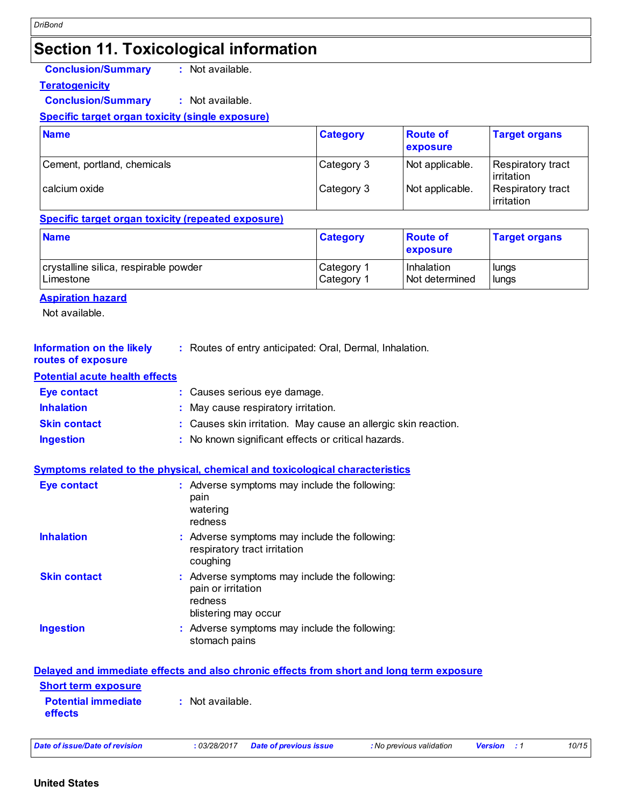### **Section 11. Toxicological information**

**Conclusion/Summary :** Not available.

**Teratogenicity**

**Conclusion/Summary :** Not available.

#### **Specific target organ toxicity (single exposure)**

| <b>Name</b>                 | <b>Category</b> | <b>Route of</b><br>exposure | <b>Target organs</b>             |
|-----------------------------|-----------------|-----------------------------|----------------------------------|
| Cement, portland, chemicals | Category 3      | Not applicable.             | Respiratory tract<br>lirritation |
| l calcium oxide             | Category 3      | Not applicable.             | Respiratory tract<br>irritation  |

#### **Specific target organ toxicity (repeated exposure)**

| <b>Name</b>                           | <b>Category</b>       | <b>Route of</b><br>exposure | <b>Target organs</b> |
|---------------------------------------|-----------------------|-----------------------------|----------------------|
| crystalline silica, respirable powder | Category <sup>1</sup> | Inhalation                  | lungs                |
| Limestone                             | Category 1            | Not determined              | lungs                |

#### **Aspiration hazard**

Not available.

| <b>Information on the likely</b><br>routes of exposure | : Routes of entry anticipated: Oral, Dermal, Inhalation.       |
|--------------------------------------------------------|----------------------------------------------------------------|
| <b>Potential acute health effects</b>                  |                                                                |
| <b>Eye contact</b>                                     | : Causes serious eye damage.                                   |
| <b>Inhalation</b>                                      | : May cause respiratory irritation.                            |
| <b>Skin contact</b>                                    | : Causes skin irritation. May cause an allergic skin reaction. |
| <b>Ingestion</b>                                       | : No known significant effects or critical hazards.            |

#### **Symptoms related to the physical, chemical and toxicological characteristics**

| <b>Eye contact</b>  | : Adverse symptoms may include the following:<br>pain<br>watering<br>redness                           |
|---------------------|--------------------------------------------------------------------------------------------------------|
| <b>Inhalation</b>   | : Adverse symptoms may include the following:<br>respiratory tract irritation<br>coughing              |
| <b>Skin contact</b> | : Adverse symptoms may include the following:<br>pain or irritation<br>redness<br>blistering may occur |
| <b>Ingestion</b>    | : Adverse symptoms may include the following:<br>stomach pains                                         |

#### **Delayed and immediate effects and also chronic effects from short and long term exposure Potential immediate effects :** Not available. **Short term exposure**

|  | Date of issue/Date of revision |  |  |  |  |  |  |  |  |  |
|--|--------------------------------|--|--|--|--|--|--|--|--|--|
|--|--------------------------------|--|--|--|--|--|--|--|--|--|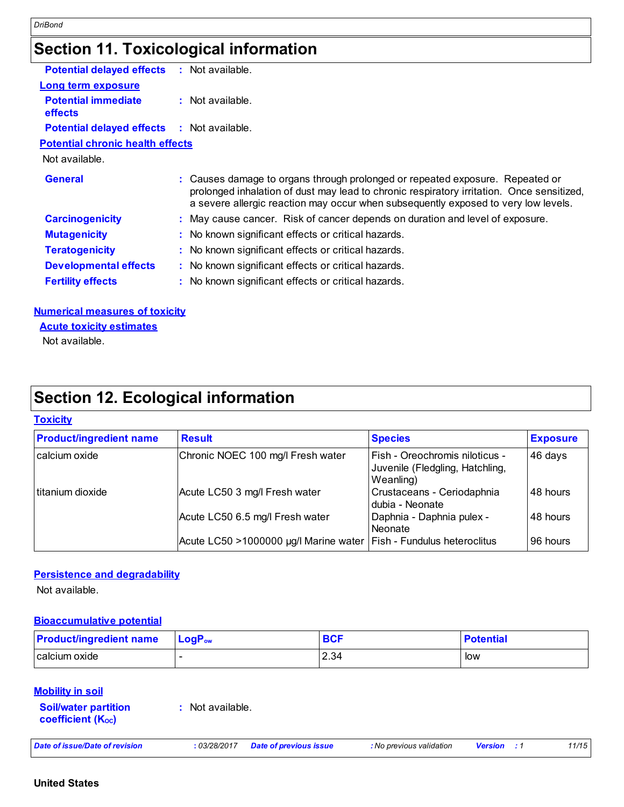### **Section 11. Toxicological information**

| <b>Potential delayed effects</b>                  | $:$ Not available.                                                                                                                                                                                                                                               |
|---------------------------------------------------|------------------------------------------------------------------------------------------------------------------------------------------------------------------------------------------------------------------------------------------------------------------|
| <b>Long term exposure</b>                         |                                                                                                                                                                                                                                                                  |
| <b>Potential immediate</b><br><b>effects</b>      | $:$ Not available.                                                                                                                                                                                                                                               |
| <b>Potential delayed effects : Not available.</b> |                                                                                                                                                                                                                                                                  |
| <b>Potential chronic health effects</b>           |                                                                                                                                                                                                                                                                  |
| Not available.                                    |                                                                                                                                                                                                                                                                  |
| <b>General</b>                                    | : Causes damage to organs through prolonged or repeated exposure. Repeated or<br>prolonged inhalation of dust may lead to chronic respiratory irritation. Once sensitized,<br>a severe allergic reaction may occur when subsequently exposed to very low levels. |
| <b>Carcinogenicity</b>                            | : May cause cancer. Risk of cancer depends on duration and level of exposure.                                                                                                                                                                                    |
| <b>Mutagenicity</b>                               | : No known significant effects or critical hazards.                                                                                                                                                                                                              |
| <b>Teratogenicity</b>                             | : No known significant effects or critical hazards.                                                                                                                                                                                                              |
| <b>Developmental effects</b>                      | : No known significant effects or critical hazards.                                                                                                                                                                                                              |
| <b>Fertility effects</b>                          | : No known significant effects or critical hazards.                                                                                                                                                                                                              |
|                                                   |                                                                                                                                                                                                                                                                  |
|                                                   |                                                                                                                                                                                                                                                                  |

#### **Numerical measures of toxicity**

Not available. **Acute toxicity estimates**

## **Section 12. Ecological information**

#### **Toxicity**

| <b>Product/ingredient name</b> | <b>Result</b>                                                        | <b>Species</b>                                                                 | <b>Exposure</b> |
|--------------------------------|----------------------------------------------------------------------|--------------------------------------------------------------------------------|-----------------|
| calcium oxide                  | Chronic NOEC 100 mg/l Fresh water                                    | Fish - Oreochromis niloticus -<br>Juvenile (Fledgling, Hatchling,<br>Weanling) | 46 days         |
| titanium dioxide               | Acute LC50 3 mg/l Fresh water                                        | Crustaceans - Ceriodaphnia<br>dubia - Neonate                                  | 48 hours        |
|                                | Acute LC50 6.5 mg/l Fresh water                                      | Daphnia - Daphnia pulex -<br>Neonate                                           | 48 hours        |
|                                | Acute LC50 >1000000 µg/l Marine water   Fish - Fundulus heteroclitus |                                                                                | 96 hours        |

#### **Persistence and degradability**

Not available.

#### **Bioaccumulative potential**

| <b>Product/ingredient name</b> | $\mathsf{LogP}_\mathsf{ow}$ | всг  | <b>Potential</b> |
|--------------------------------|-----------------------------|------|------------------|
| calcium oxide                  | -                           | 2.34 | low              |

#### **Mobility in soil**

**Soil/water partition coefficient (KOC) :** Not available.

| Date of issue/Date of revision |  | : 03/28/2017 Date of previous issue | : No previous validation | <b>Version</b> : 1 |  | 11/15 |
|--------------------------------|--|-------------------------------------|--------------------------|--------------------|--|-------|
|--------------------------------|--|-------------------------------------|--------------------------|--------------------|--|-------|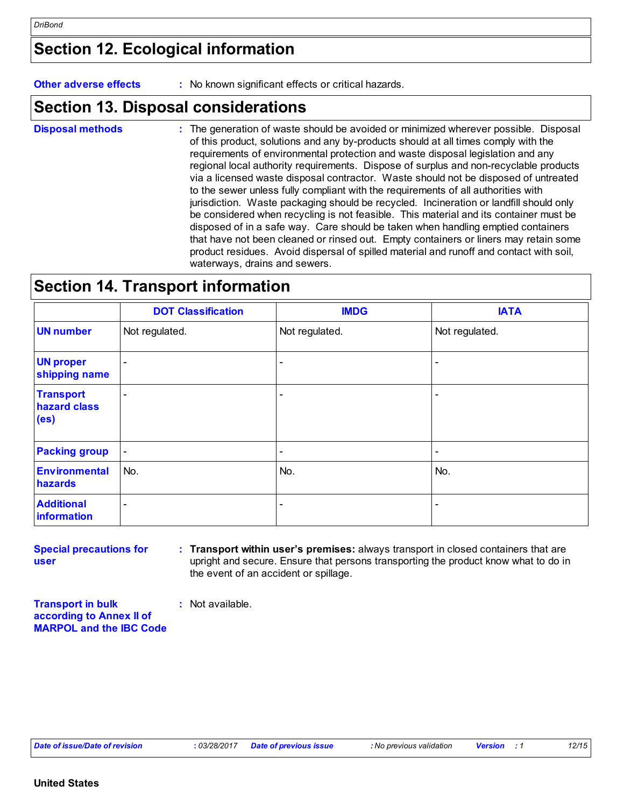## **Section 12. Ecological information**

**Other adverse effects** : No known significant effects or critical hazards.

### **Section 13. Disposal considerations**

The generation of waste should be avoided or minimized wherever possible. Disposal of this product, solutions and any by-products should at all times comply with the requirements of environmental protection and waste disposal legislation and any regional local authority requirements. Dispose of surplus and non-recyclable products via a licensed waste disposal contractor. Waste should not be disposed of untreated to the sewer unless fully compliant with the requirements of all authorities with jurisdiction. Waste packaging should be recycled. Incineration or landfill should only be considered when recycling is not feasible. This material and its container must be disposed of in a safe way. Care should be taken when handling emptied containers that have not been cleaned or rinsed out. Empty containers or liners may retain some product residues. Avoid dispersal of spilled material and runoff and contact with soil, waterways, drains and sewers. **Disposal methods :**

### **Section 14. Transport information**

|                                                       | <b>DOT Classification</b>    | <b>IMDG</b>              | <b>IATA</b>              |
|-------------------------------------------------------|------------------------------|--------------------------|--------------------------|
| <b>UN number</b>                                      | Not regulated.               | Not regulated.           | Not regulated.           |
| <b>UN proper</b><br>shipping name                     | $\qquad \qquad \blacksquare$ | $\overline{\phantom{a}}$ | $\overline{\phantom{a}}$ |
| <b>Transport</b><br>hazard class<br>(e <sub>s</sub> ) | ۰                            | $\overline{\phantom{a}}$ | $\overline{\phantom{a}}$ |
| <b>Packing group</b>                                  | $\blacksquare$               | $\overline{\phantom{a}}$ | $\overline{\phantom{a}}$ |
| <b>Environmental</b><br>hazards                       | No.                          | No.                      | No.                      |
| <b>Additional</b><br>information                      | $\overline{\phantom{a}}$     | $\overline{\phantom{0}}$ | $\overline{\phantom{a}}$ |

**Special precautions for user Transport within user's premises:** always transport in closed containers that are **:** upright and secure. Ensure that persons transporting the product know what to do in the event of an accident or spillage.

**Transport in bulk according to Annex II of MARPOL and the IBC Code**

**:** Not available.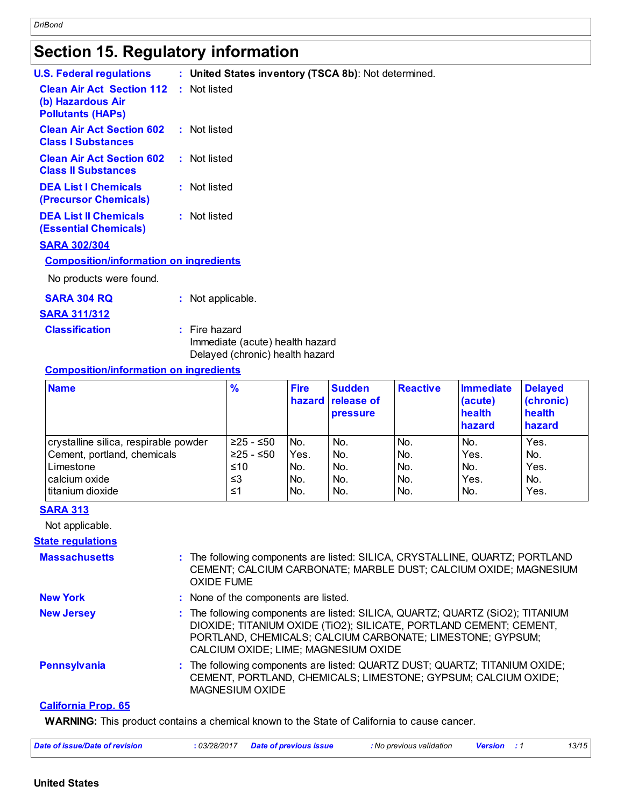## **Section 15. Regulatory information**

| <b>U.S. Federal regulations</b>                                                   | : United States inventory (TSCA 8b): Not determined.                                  |
|-----------------------------------------------------------------------------------|---------------------------------------------------------------------------------------|
| <b>Clean Air Act Section 112</b><br>(b) Hazardous Air<br><b>Pollutants (HAPS)</b> | : Not listed                                                                          |
| <b>Clean Air Act Section 602</b><br><b>Class I Substances</b>                     | : Not listed                                                                          |
| <b>Clean Air Act Section 602</b><br><b>Class II Substances</b>                    | : Not listed                                                                          |
| <b>DEA List I Chemicals</b><br>(Precursor Chemicals)                              | : Not listed                                                                          |
| <b>DEA List II Chemicals</b><br><b>(Essential Chemicals)</b>                      | : Not listed                                                                          |
| <b>SARA 302/304</b>                                                               |                                                                                       |
| <b>Composition/information on ingredients</b>                                     |                                                                                       |
| No products were found.                                                           |                                                                                       |
| <b>SARA 304 RQ</b>                                                                | : Not applicable.                                                                     |
| <b>SARA 311/312</b>                                                               |                                                                                       |
| <b>Classification</b>                                                             | $:$ Fire hazard<br>Immediate (acute) health hazard<br>Delayed (chronic) health hazard |
| <b>Composition/information on ingredients</b>                                     |                                                                                       |
| $\mathbf{A}$ $\mathbf{B}$ $\mathbf{A}$ $\mathbf{A}$                               | ma.<br>$\mathbf{a}$<br><b>Construction</b><br>$P = -1$<br>п.                          |

| Composition/Information_on_inqredients |               |             |                                                       |                 |                                          |                                                 |
|----------------------------------------|---------------|-------------|-------------------------------------------------------|-----------------|------------------------------------------|-------------------------------------------------|
| <b>Name</b>                            | $\frac{9}{6}$ | <b>Fire</b> | <b>Sudden</b><br>hazard release of<br><b>pressure</b> | <b>Reactive</b> | Immediate<br>(acute)<br>health<br>hazard | <b>Delayed</b><br>(chronic)<br>health<br>hazard |
| crystalline silica, respirable powder  | ≥25 - ≤50     | No.         | No.                                                   | No.             | No.                                      | Yes.                                            |
| Cement, portland, chemicals            | $≥25 - ≤50$   | Yes.        | No.                                                   | INo.            | Yes.                                     | No.                                             |
| Limestone                              | ≤10           | No.         | No.                                                   | INo.            | No.                                      | Yes.                                            |
| calcium oxide                          | ≤3            | No.         | No.                                                   | No.             | Yes.                                     | No.                                             |

titanium dioxide  $\vert$  ≤1  $\vert$  No.  $\vert$  No.  $\vert$  No.  $\vert$  No.  $\vert$  Yes.

#### **SARA 313**

Not applicable.

#### **State regulations**

| <b>Massachusetts</b> | : The following components are listed: SILICA, CRYSTALLINE, QUARTZ; PORTLAND<br>CEMENT; CALCIUM CARBONATE; MARBLE DUST; CALCIUM OXIDE; MAGNESIUM<br><b>OXIDE FUME</b>                                                                                      |
|----------------------|------------------------------------------------------------------------------------------------------------------------------------------------------------------------------------------------------------------------------------------------------------|
| <b>New York</b>      | : None of the components are listed.                                                                                                                                                                                                                       |
| <b>New Jersey</b>    | : The following components are listed: SILICA, QUARTZ; QUARTZ (SiO2); TITANIUM<br>DIOXIDE; TITANIUM OXIDE (TIO2); SILICATE, PORTLAND CEMENT; CEMENT,<br>PORTLAND, CHEMICALS; CALCIUM CARBONATE; LIMESTONE; GYPSUM;<br>CALCIUM OXIDE; LIME; MAGNESIUM OXIDE |
| <b>Pennsylvania</b>  | : The following components are listed: QUARTZ DUST; QUARTZ; TITANIUM OXIDE;<br>CEMENT, PORTLAND, CHEMICALS; LIMESTONE; GYPSUM; CALCIUM OXIDE;<br><b>MAGNESIUM OXIDE</b>                                                                                    |
| Colifornia Dron, CE  |                                                                                                                                                                                                                                                            |

#### **California Prop. 65**

**WARNING:** This product contains a chemical known to the State of California to cause cancer.

| Date of issue/Date of revision | 03/28/2017 | Date of previous issue | : No previous validation | <b>Version</b> |  | 13/15 |
|--------------------------------|------------|------------------------|--------------------------|----------------|--|-------|
|--------------------------------|------------|------------------------|--------------------------|----------------|--|-------|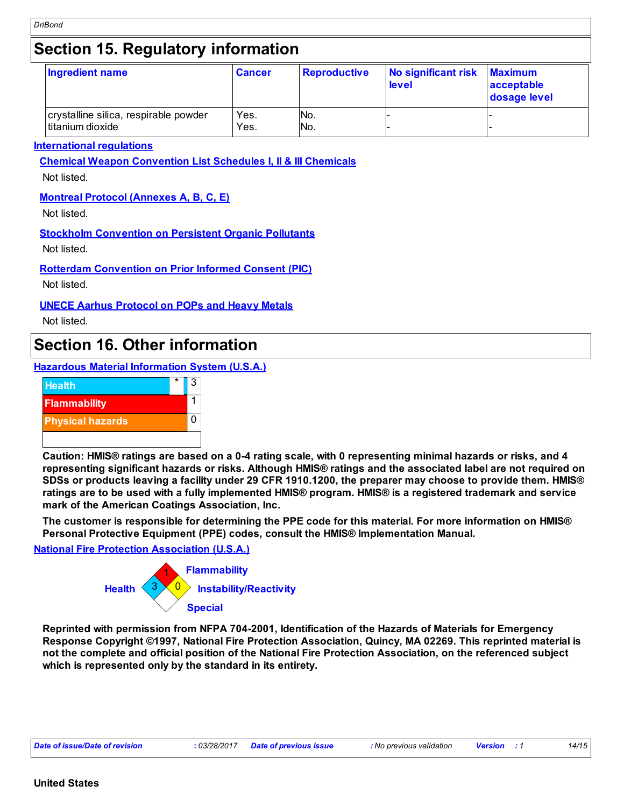## **Section 15. Regulatory information**

| Ingredient name                                           | <b>Cancer</b> | <b>Reproductive</b> | No significant risk<br>level | <b>Maximum</b><br>acceptable<br>dosage level |
|-----------------------------------------------------------|---------------|---------------------|------------------------------|----------------------------------------------|
| crystalline silica, respirable powder<br>titanium dioxide | Yes.<br>Yes.  | No.<br>No.          |                              |                                              |

#### **International regulations**

**Chemical Weapon Convention List Schedules I, II & III Chemicals**

Not listed.

#### **Montreal Protocol (Annexes A, B, C, E)**

Not listed.

#### **Stockholm Convention on Persistent Organic Pollutants**

Not listed.

**Rotterdam Convention on Prior Informed Consent (PIC)**

Not listed.

#### **UNECE Aarhus Protocol on POPs and Heavy Metals**

Not listed.

### **Section 16. Other information**

**Hazardous Material Information System (U.S.A.)**



**Caution: HMIS® ratings are based on a 0-4 rating scale, with 0 representing minimal hazards or risks, and 4 representing significant hazards or risks. Although HMIS® ratings and the associated label are not required on SDSs or products leaving a facility under 29 CFR 1910.1200, the preparer may choose to provide them. HMIS® ratings are to be used with a fully implemented HMIS® program. HMIS® is a registered trademark and service mark of the American Coatings Association, Inc.**

**The customer is responsible for determining the PPE code for this material. For more information on HMIS® Personal Protective Equipment (PPE) codes, consult the HMIS® Implementation Manual.**

#### **National Fire Protection Association (U.S.A.)**



**Reprinted with permission from NFPA 704-2001, Identification of the Hazards of Materials for Emergency Response Copyright ©1997, National Fire Protection Association, Quincy, MA 02269. This reprinted material is not the complete and official position of the National Fire Protection Association, on the referenced subject which is represented only by the standard in its entirety.**